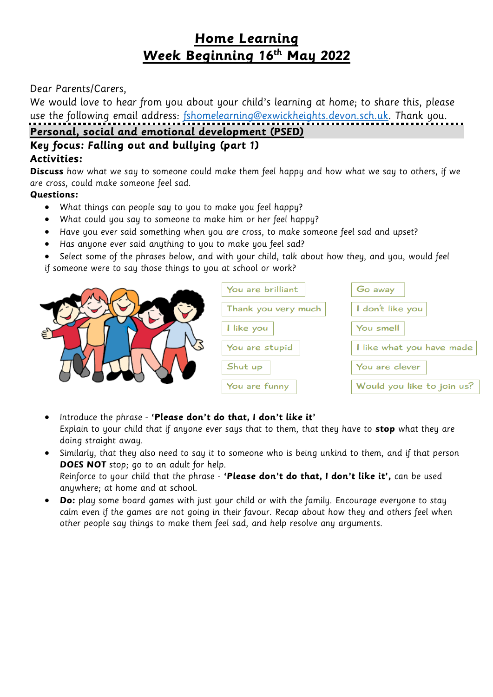# **Home Learning Week Beginning 16th May 2022**

#### Dear Parents/Carers,

We would love to hear from you about your child's learning at home; to share this, please use the following email address: [fshomelearning@exwickheights.devon.sch.uk.](mailto:fshomelearning@exwickheights.devon.sch.uk) Thank you.

**Personal, social and emotional development (PSED)**

# **Key focus: Falling out and bullying (part 1)**

#### **Activities:**

**Discuss** how what we say to someone could make them feel happy and how what we say to others, if we are cross, could make someone feel sad.

#### **Questions:**

- What things can people say to you to make you feel happy?
- What could you say to someone to make him or her feel happy?
- Have you ever said something when you are cross, to make someone feel sad and upset?
- Has anyone ever said anything to you to make you feel sad?
- Select some of the phrases below, and with your child, talk about how they, and you, would feel
- if someone were to say those things to you at school or work?

| ξ | You are brilliant   | Go away                    |
|---|---------------------|----------------------------|
|   | Thank you very much | I don't like you           |
|   | I like you          | You smell                  |
|   | You are stupid      | I like what you have made  |
|   | Shut up             | You are clever             |
|   | You are funny       | Would you like to join us? |

 Introduce the phrase - **'Please don't do that, I don't like it'** Explain to your child that if anyone ever says that to them, that they have to **stop** what they are doing straight away.

- Similarly, that they also need to say it to someone who is being unkind to them, and if that person **DOES NOT** stop; go to an adult for help. Reinforce to your child that the phrase - **'Please don't do that, I don't like it',** can be used anywhere; at home and at school.
- **Do:** play some board games with just your child or with the family. Encourage everyone to stay calm even if the games are not going in their favour. Recap about how they and others feel when other people say things to make them feel sad, and help resolve any arguments.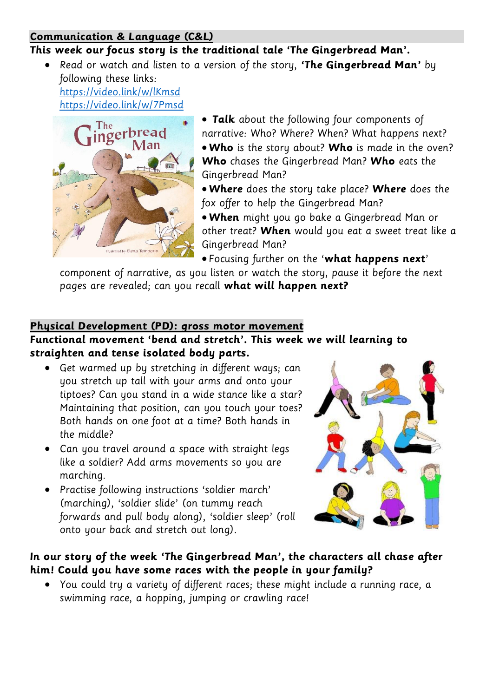#### **Communication & Language (C&L)**

## **This week our focus story is the traditional tale 'The Gingerbread Man'.**

 Read or watch and listen to a version of the story, **'The Gingerbread Man'** by following these links:

<https://video.link/w/lKmsd> <https://video.link/w/7Pmsd>



 **Talk** about the following four components of narrative: Who? Where? When? What happens next? **Who** is the story about? **Who** is made in the oven? **Who** chases the Gingerbread Man? **Who** eats the Gingerbread Man?

- **Where** does the story take place? **Where** does the fox offer to help the Gingerbread Man?
- **When** might you go bake a Gingerbread Man or other treat? **When** would you eat a sweet treat like a Gingerbread Man?
- Focusing further on the '**what happens next**'

component of narrative, as you listen or watch the story, pause it before the next pages are revealed; can you recall **what will happen next?** 

### **Physical Development (PD): gross motor movement**

## **Functional movement 'bend and stretch'. This week we will learning to straighten and tense isolated body parts.**

- Get warmed up by stretching in different ways; can you stretch up tall with your arms and onto your tiptoes? Can you stand in a wide stance like a star? Maintaining that position, can you touch your toes? Both hands on one foot at a time? Both hands in the middle?
- Can you travel around a space with straight legs like a soldier? Add arms movements so you are marching.
- Practise following instructions 'soldier march' (marching), 'soldier slide' (on tummy reach forwards and pull body along), 'soldier sleep' (roll onto your back and stretch out long).



# **In our story of the week 'The Gingerbread Man', the characters all chase after him! Could you have some races with the people in your family?**

 You could try a variety of different races; these might include a running race, a swimming race, a hopping, jumping or crawling race!